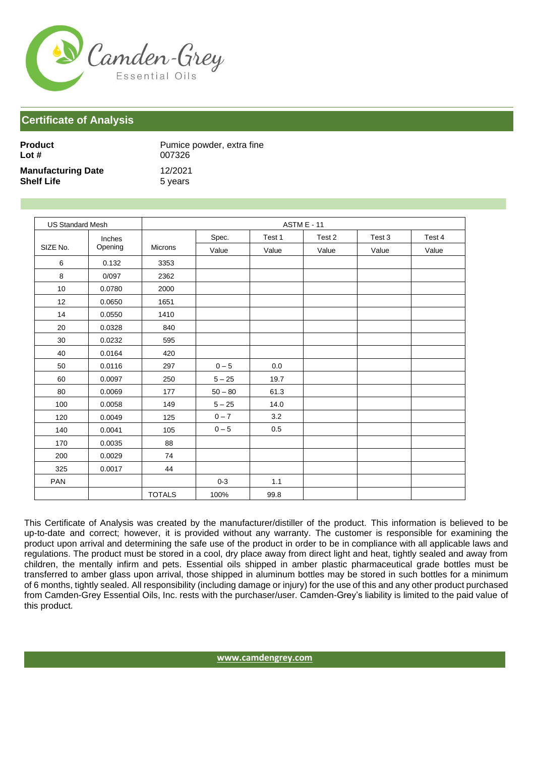

| Product                   | Pumice powder, extra fine |
|---------------------------|---------------------------|
| Lot $#$                   | 007326                    |
| <b>Manufacturing Date</b> | 12/2021                   |
| <b>Shelf Life</b>         | 5 years                   |

| <b>US Standard Mesh</b> |         | <b>ASTM E - 11</b> |           |        |        |        |        |
|-------------------------|---------|--------------------|-----------|--------|--------|--------|--------|
|                         | Inches  |                    | Spec.     | Test 1 | Test 2 | Test 3 | Test 4 |
| SIZE No.                | Opening | Microns            | Value     | Value  | Value  | Value  | Value  |
| 6                       | 0.132   | 3353               |           |        |        |        |        |
| $\bf 8$                 | 0/097   | 2362               |           |        |        |        |        |
| 10                      | 0.0780  | 2000               |           |        |        |        |        |
| 12                      | 0.0650  | 1651               |           |        |        |        |        |
| 14                      | 0.0550  | 1410               |           |        |        |        |        |
| 20                      | 0.0328  | 840                |           |        |        |        |        |
| 30                      | 0.0232  | 595                |           |        |        |        |        |
| 40                      | 0.0164  | 420                |           |        |        |        |        |
| $50\,$                  | 0.0116  | 297                | $0-5$     | 0.0    |        |        |        |
| 60                      | 0.0097  | 250                | $5 - 25$  | 19.7   |        |        |        |
| 80                      | 0.0069  | 177                | $50 - 80$ | 61.3   |        |        |        |
| 100                     | 0.0058  | 149                | $5 - 25$  | 14.0   |        |        |        |
| 120                     | 0.0049  | 125                | $0 - 7$   | 3.2    |        |        |        |
| 140                     | 0.0041  | 105                | $0 - 5$   | 0.5    |        |        |        |
| 170                     | 0.0035  | 88                 |           |        |        |        |        |
| 200                     | 0.0029  | 74                 |           |        |        |        |        |
| 325                     | 0.0017  | 44                 |           |        |        |        |        |
| PAN                     |         |                    | $0 - 3$   | 1.1    |        |        |        |
|                         |         | <b>TOTALS</b>      | 100%      | 99.8   |        |        |        |

This Certificate of Analysis was created by the manufacturer/distiller of the product. This information is believed to be up-to-date and correct; however, it is provided without any warranty. The customer is responsible for examining the product upon arrival and determining the safe use of the product in order to be in compliance with all applicable laws and regulations. The product must be stored in a cool, dry place away from direct light and heat, tightly sealed and away from children, the mentally infirm and pets. Essential oils shipped in amber plastic pharmaceutical grade bottles must be transferred to amber glass upon arrival, those shipped in aluminum bottles may be stored in such bottles for a minimum of 6 months, tightly sealed. All responsibility (including damage or injury) for the use of this and any other product purchased from Camden-Grey Essential Oils, Inc. rests with the purchaser/user. Camden-Grey's liability is limited to the paid value of this product.

**[www.camdengrey.com](http://www.camdengrey.com/)**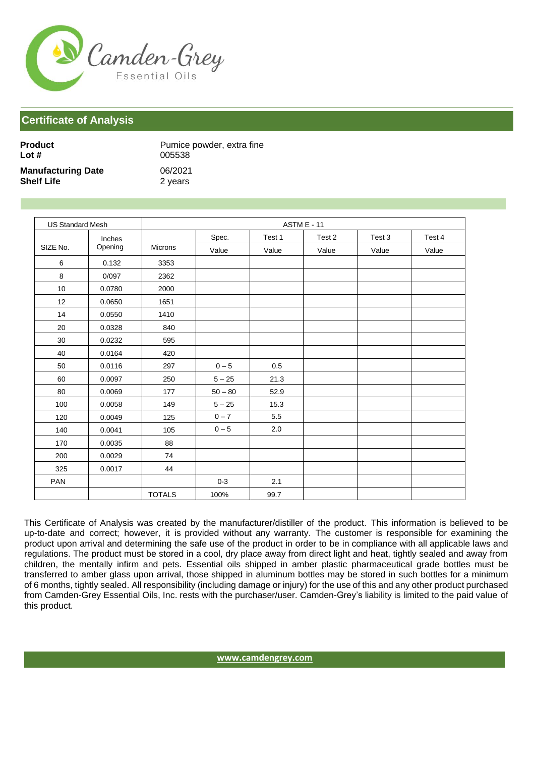

| <b>Product</b>            | Pumice powder, extra fine |
|---------------------------|---------------------------|
| Lot $#$                   | 005538                    |
| <b>Manufacturing Date</b> | 06/2021                   |
| <b>Shelf Life</b>         | 2 years                   |

| <b>US Standard Mesh</b> |         |               |           |        | <b>ASTM E - 11</b> |        |        |
|-------------------------|---------|---------------|-----------|--------|--------------------|--------|--------|
|                         | Inches  |               | Spec.     | Test 1 | Test 2             | Test 3 | Test 4 |
| SIZE No.                | Opening | Microns       | Value     | Value  | Value              | Value  | Value  |
| 6                       | 0.132   | 3353          |           |        |                    |        |        |
| 8                       | 0/097   | 2362          |           |        |                    |        |        |
| 10                      | 0.0780  | 2000          |           |        |                    |        |        |
| 12                      | 0.0650  | 1651          |           |        |                    |        |        |
| 14                      | 0.0550  | 1410          |           |        |                    |        |        |
| 20                      | 0.0328  | 840           |           |        |                    |        |        |
| $30\,$                  | 0.0232  | 595           |           |        |                    |        |        |
| 40                      | 0.0164  | 420           |           |        |                    |        |        |
| 50                      | 0.0116  | 297           | $0 - 5$   | 0.5    |                    |        |        |
| 60                      | 0.0097  | 250           | $5 - 25$  | 21.3   |                    |        |        |
| 80                      | 0.0069  | 177           | $50 - 80$ | 52.9   |                    |        |        |
| 100                     | 0.0058  | 149           | $5 - 25$  | 15.3   |                    |        |        |
| 120                     | 0.0049  | 125           | $0 - 7$   | 5.5    |                    |        |        |
| 140                     | 0.0041  | 105           | $0 - 5$   | 2.0    |                    |        |        |
| 170                     | 0.0035  | 88            |           |        |                    |        |        |
| 200                     | 0.0029  | 74            |           |        |                    |        |        |
| 325                     | 0.0017  | 44            |           |        |                    |        |        |
| PAN                     |         |               | $0 - 3$   | 2.1    |                    |        |        |
|                         |         | <b>TOTALS</b> | 100%      | 99.7   |                    |        |        |

This Certificate of Analysis was created by the manufacturer/distiller of the product. This information is believed to be up-to-date and correct; however, it is provided without any warranty. The customer is responsible for examining the product upon arrival and determining the safe use of the product in order to be in compliance with all applicable laws and regulations. The product must be stored in a cool, dry place away from direct light and heat, tightly sealed and away from children, the mentally infirm and pets. Essential oils shipped in amber plastic pharmaceutical grade bottles must be transferred to amber glass upon arrival, those shipped in aluminum bottles may be stored in such bottles for a minimum of 6 months, tightly sealed. All responsibility (including damage or injury) for the use of this and any other product purchased from Camden-Grey Essential Oils, Inc. rests with the purchaser/user. Camden-Grey's liability is limited to the paid value of this product.

**[www.camdengrey.com](http://www.camdengrey.com/)**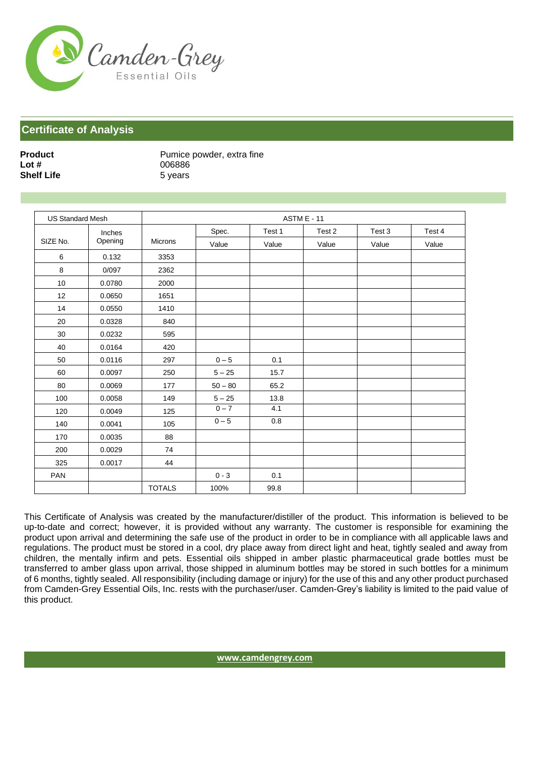

**Shelf Life** 5 years

**Product** Pumice powder, extra fine<br> **Lot #** 006886 **Lot #** 006886

| <b>US Standard Mesh</b> |         | ASTM E - 11   |           |        |        |        |        |
|-------------------------|---------|---------------|-----------|--------|--------|--------|--------|
|                         | Inches  |               | Spec.     | Test 1 | Test 2 | Test 3 | Test 4 |
| SIZE No.                | Opening | Microns       | Value     | Value  | Value  | Value  | Value  |
| 6                       | 0.132   | 3353          |           |        |        |        |        |
| 8                       | 0/097   | 2362          |           |        |        |        |        |
| 10                      | 0.0780  | 2000          |           |        |        |        |        |
| 12                      | 0.0650  | 1651          |           |        |        |        |        |
| 14                      | 0.0550  | 1410          |           |        |        |        |        |
| 20                      | 0.0328  | 840           |           |        |        |        |        |
| 30                      | 0.0232  | 595           |           |        |        |        |        |
| 40                      | 0.0164  | 420           |           |        |        |        |        |
| 50                      | 0.0116  | 297           | $0-5$     | 0.1    |        |        |        |
| 60                      | 0.0097  | 250           | $5 - 25$  | 15.7   |        |        |        |
| 80                      | 0.0069  | 177           | $50 - 80$ | 65.2   |        |        |        |
| 100                     | 0.0058  | 149           | $5 - 25$  | 13.8   |        |        |        |
| 120                     | 0.0049  | 125           | $0 - 7$   | 4.1    |        |        |        |
| 140                     | 0.0041  | 105           | $0-5$     | 0.8    |        |        |        |
| 170                     | 0.0035  | 88            |           |        |        |        |        |
| 200                     | 0.0029  | 74            |           |        |        |        |        |
| 325                     | 0.0017  | 44            |           |        |        |        |        |
| PAN                     |         |               | $0 - 3$   | 0.1    |        |        |        |
|                         |         | <b>TOTALS</b> | 100%      | 99.8   |        |        |        |

This Certificate of Analysis was created by the manufacturer/distiller of the product. This information is believed to be up-to-date and correct; however, it is provided without any warranty. The customer is responsible for examining the product upon arrival and determining the safe use of the product in order to be in compliance with all applicable laws and regulations. The product must be stored in a cool, dry place away from direct light and heat, tightly sealed and away from children, the mentally infirm and pets. Essential oils shipped in amber plastic pharmaceutical grade bottles must be transferred to amber glass upon arrival, those shipped in aluminum bottles may be stored in such bottles for a minimum of 6 months, tightly sealed. All responsibility (including damage or injury) for the use of this and any other product purchased from Camden-Grey Essential Oils, Inc. rests with the purchaser/user. Camden-Grey's liability is limited to the paid value of this product.

**[www.camdengrey.com](http://www.camdengrey.com/)**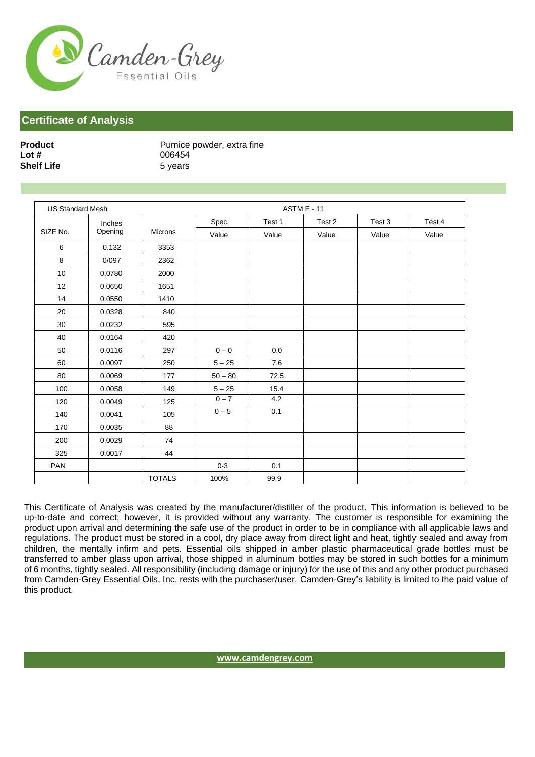

| <b>Product</b>    |  |  |  |  |  |
|-------------------|--|--|--|--|--|
| Lot $#$           |  |  |  |  |  |
| <b>Shelf Life</b> |  |  |  |  |  |

Pumice powder, extra fine **Lot #** 006454 **5 years** 

| <b>US Standard Mesh</b> |         | <b>ASTM E - 11</b> |           |        |        |        |        |
|-------------------------|---------|--------------------|-----------|--------|--------|--------|--------|
|                         | Inches  |                    | Spec.     | Test 1 | Test 2 | Test 3 | Test 4 |
| SIZE No.                | Opening | <b>Microns</b>     | Value     | Value  | Value  | Value  | Value  |
| 6                       | 0.132   | 3353               |           |        |        |        |        |
| 8                       | 0/097   | 2362               |           |        |        |        |        |
| 10                      | 0.0780  | 2000               |           |        |        |        |        |
| 12                      | 0.0650  | 1651               |           |        |        |        |        |
| 14                      | 0.0550  | 1410               |           |        |        |        |        |
| 20                      | 0.0328  | 840                |           |        |        |        |        |
| 30                      | 0.0232  | 595                |           |        |        |        |        |
| 40                      | 0.0164  | 420                |           |        |        |        |        |
| 50                      | 0.0116  | 297                | $0 - 0$   | 0.0    |        |        |        |
| 60                      | 0.0097  | 250                | $5 - 25$  | 7.6    |        |        |        |
| 80                      | 0.0069  | 177                | $50 - 80$ | 72.5   |        |        |        |
| 100                     | 0.0058  | 149                | $5 - 25$  | 15.4   |        |        |        |
| 120                     | 0.0049  | 125                | $0 - 7$   | 4.2    |        |        |        |
| 140                     | 0.0041  | 105                | $0 - 5$   | 0.1    |        |        |        |
| 170                     | 0.0035  | 88                 |           |        |        |        |        |
| 200                     | 0.0029  | 74                 |           |        |        |        |        |
| 325                     | 0.0017  | 44                 |           |        |        |        |        |
| PAN                     |         |                    | $0 - 3$   | 0.1    |        |        |        |
|                         |         | <b>TOTALS</b>      | 100%      | 99.9   |        |        |        |

This Certificate of Analysis was created by the manufacturer/distiller of the product. This information is believed to be up-to-date and correct; however, it is provided without any warranty. The customer is responsible for examining the product upon arrival and determining the safe use of the product in order to be in compliance with all applicable laws and regulations. The product must be stored in a cool, dry place away from direct light and heat, tightly sealed and away from children, the mentally infirm and pets. Essential oils shipped in amber plastic pharmaceutical grade bottles must be transferred to amber glass upon arrival, those shipped in aluminum bottles may be stored in such bottles for a minimum of 6 months, tightly sealed. All responsibility (including damage or injury) for the use of this and any other product purchased from Camden-Grey Essential Oils, Inc. rests with the purchaser/user. Camden-Grey's liability is limited to the paid value of this product.